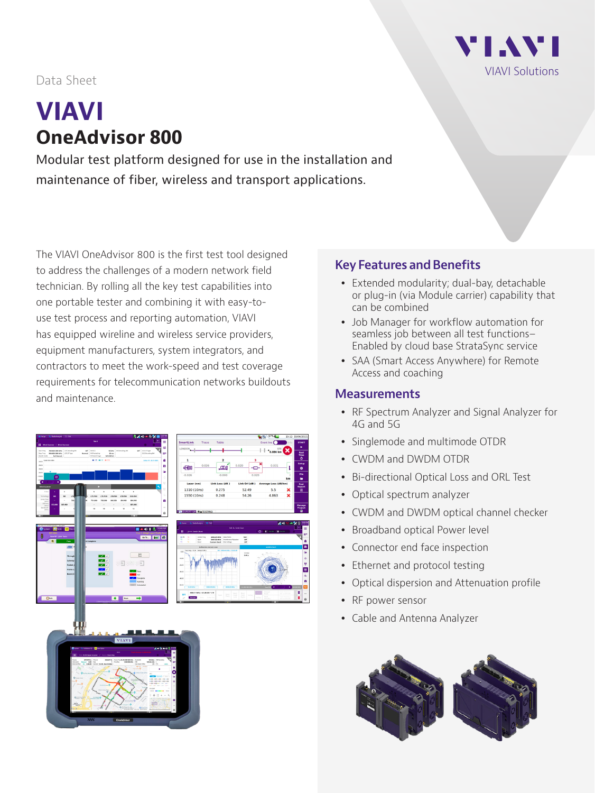

## Data Sheet

# **VIAVI OneAdvisor 800**

Modular test platform designed for use in the installation and maintenance of fiber, wireless and transport applications.

The VIAVI OneAdvisor 800 is the first test tool designed to address the challenges of a modern network field technician. By rolling all the key test capabilities into one portable tester and combining it with easy-touse test process and reporting automation, VIAVI has equipped wireline and wireless service providers, equipment manufacturers, system integrators, and contractors to meet the work-speed and test coverage requirements for telecommunication networks buildouts and maintenance.



#### **Key Features and Benefits**

- Extended modularity; dual-bay, detachable or plug-in (via Module carrier) capability that can be combined
- Job Manager for workflow automation for seamless job between all test functions– Enabled by cloud base StrataSync service
- SAA (Smart Access Anywhere) for Remote Access and coaching

### **Measurements**

- RF Spectrum Analyzer and Signal Analyzer for 4G and 5G
- Singlemode and multimode OTDR
- CWDM and DWDM OTDR
- Bi-directional Optical Loss and ORL Test
- Optical spectrum analyzer
- CWDM and DWDM optical channel checker
- Broadband optical Power level
- Connector end face inspection
- Ethernet and protocol testing
- Optical dispersion and Attenuation profile
- RF power sensor
- Cable and Antenna Analyzer

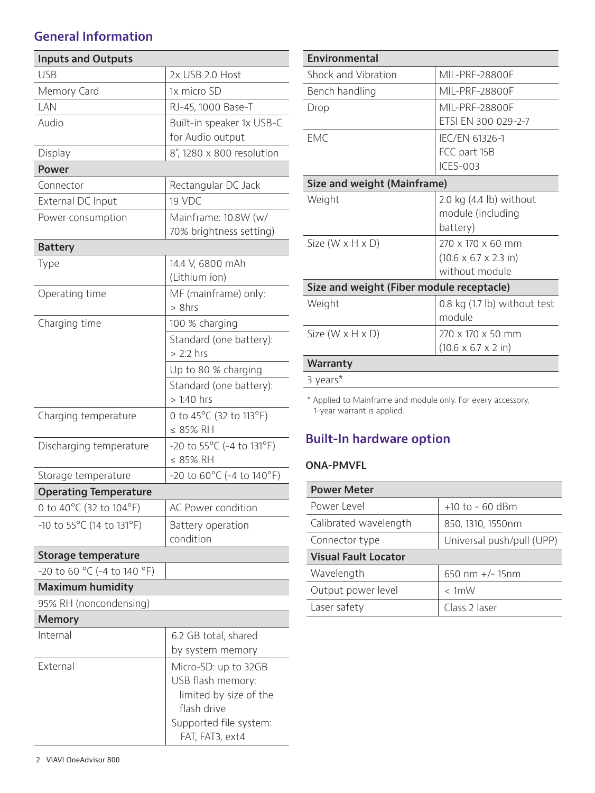## **General Information**

| <b>Inputs and Outputs</b>    |                                                                                                                                 |  |  |  |  |
|------------------------------|---------------------------------------------------------------------------------------------------------------------------------|--|--|--|--|
| <b>USB</b>                   | 2x USB 2.0 Host                                                                                                                 |  |  |  |  |
| Memory Card                  | 1x micro SD                                                                                                                     |  |  |  |  |
| LAN                          | RJ-45, 1000 Base-T                                                                                                              |  |  |  |  |
| Audio                        | Built-in speaker 1x USB-C                                                                                                       |  |  |  |  |
|                              | for Audio output                                                                                                                |  |  |  |  |
| Display                      | 8", 1280 x 800 resolution                                                                                                       |  |  |  |  |
| <b>Power</b>                 |                                                                                                                                 |  |  |  |  |
| Connector                    | Rectangular DC Jack                                                                                                             |  |  |  |  |
| External DC Input            | 19 VDC                                                                                                                          |  |  |  |  |
| Power consumption            | Mainframe: 10.8W (w/<br>70% brightness setting)                                                                                 |  |  |  |  |
| <b>Battery</b>               |                                                                                                                                 |  |  |  |  |
| Type                         | 14.4 V, 6800 mAh<br>(Lithium ion)                                                                                               |  |  |  |  |
| Operating time               | MF (mainframe) only:<br>> 8hrs                                                                                                  |  |  |  |  |
| Charging time                | 100 % charging                                                                                                                  |  |  |  |  |
|                              | Standard (one battery):<br>$> 2:2$ hrs                                                                                          |  |  |  |  |
|                              | Up to 80 % charging                                                                                                             |  |  |  |  |
|                              | Standard (one battery):<br>> 1:40 hrs                                                                                           |  |  |  |  |
| Charging temperature         | 0 to 45°C (32 to 113°F)<br>≤ 85% RH                                                                                             |  |  |  |  |
| Discharging temperature      | -20 to 55°C (-4 to 131°F)<br>≤ 85% RH                                                                                           |  |  |  |  |
| Storage temperature          | $-20$ to 60°C ( $-4$ to 140°F)                                                                                                  |  |  |  |  |
| <b>Operating Temperature</b> |                                                                                                                                 |  |  |  |  |
| 0 to 40°C (32 to 104°F)      | AC Power condition                                                                                                              |  |  |  |  |
| $-10$ to 55°C (14 to 131°F)  | Battery operation<br>condition                                                                                                  |  |  |  |  |
| <b>Storage temperature</b>   |                                                                                                                                 |  |  |  |  |
| -20 to 60 °C (-4 to 140 °F)  |                                                                                                                                 |  |  |  |  |
| <b>Maximum humidity</b>      |                                                                                                                                 |  |  |  |  |
| 95% RH (noncondensing)       |                                                                                                                                 |  |  |  |  |
| <b>Memory</b>                |                                                                                                                                 |  |  |  |  |
| Internal                     | 6.2 GB total, shared<br>by system memory                                                                                        |  |  |  |  |
| External                     | Micro-SD: up to 32GB<br>USB flash memory:<br>limited by size of the<br>flash drive<br>Supported file system:<br>FAT, FAT3, ext4 |  |  |  |  |

| <b>Environmental</b>                      |                                           |  |  |  |  |
|-------------------------------------------|-------------------------------------------|--|--|--|--|
| Shock and Vibration                       | MIL-PRF-28800F                            |  |  |  |  |
| Bench handling                            | MIL-PRF-28800F                            |  |  |  |  |
| Drop                                      | MII-PRE-28800E                            |  |  |  |  |
|                                           | FTSI FN 300 029-2-7                       |  |  |  |  |
| <b>FMC</b>                                | IFC/FN 61326-1                            |  |  |  |  |
|                                           | FCC part 15B                              |  |  |  |  |
|                                           | <b>ICES-003</b>                           |  |  |  |  |
| Size and weight (Mainframe)               |                                           |  |  |  |  |
| Weight                                    | 2.0 kg $(4.4 \text{ lb})$ without         |  |  |  |  |
|                                           | module (including                         |  |  |  |  |
|                                           | battery)                                  |  |  |  |  |
| Size $(W \times H \times D)$              | 270 x 170 x 60 mm                         |  |  |  |  |
|                                           | $(10.6 \times 6.7 \times 2.3 \text{ in})$ |  |  |  |  |
|                                           | without module                            |  |  |  |  |
| Size and weight (Fiber module receptacle) |                                           |  |  |  |  |
| Weight                                    | 0.8 kg (1.7 lb) without test              |  |  |  |  |
|                                           | module                                    |  |  |  |  |
| Size $(W \times H \times D)$              | 270 x 170 x 50 mm                         |  |  |  |  |
|                                           | $(10.6 \times 6.7 \times 2 \text{ in})$   |  |  |  |  |
| Warranty                                  |                                           |  |  |  |  |
|                                           |                                           |  |  |  |  |

3 years\*

\* Applied to Mainframe and module only. For every accessory, 1-year warrant is applied.

## **Built-In hardware option**

#### **ONA-PMVFL**

| <b>Power Meter</b>          |                           |  |  |  |  |  |
|-----------------------------|---------------------------|--|--|--|--|--|
| Power Level                 | $+10$ to - 60 dBm         |  |  |  |  |  |
| Calibrated wavelength       | 850, 1310, 1550nm         |  |  |  |  |  |
| Connector type              | Universal push/pull (UPP) |  |  |  |  |  |
| <b>Visual Fault Locator</b> |                           |  |  |  |  |  |
| Wavelength                  | 650 nm +/- 15nm           |  |  |  |  |  |
| Output power level          | $< 1$ mW                  |  |  |  |  |  |
| Laser safety                | Class 2 laser             |  |  |  |  |  |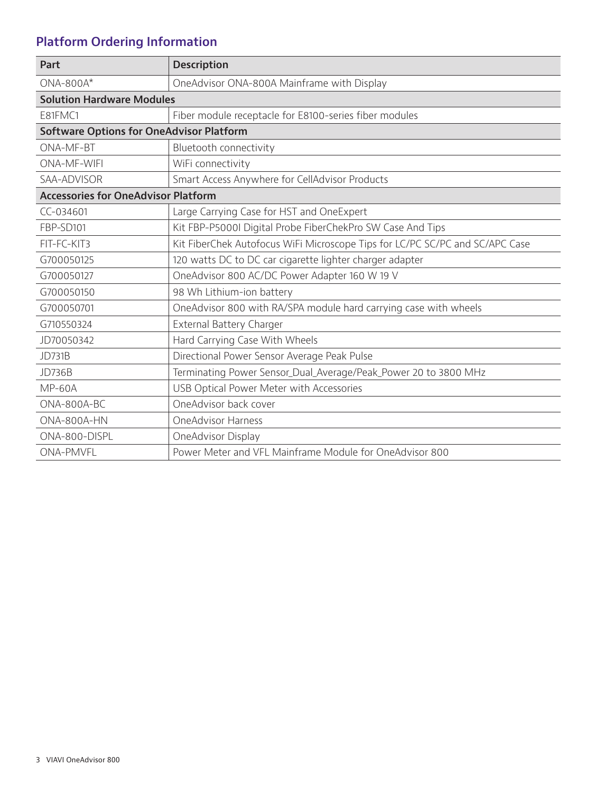# **Platform Ordering Information**

| Part                                            | <b>Description</b>                                                           |  |  |  |  |
|-------------------------------------------------|------------------------------------------------------------------------------|--|--|--|--|
| $ONA-800A*$                                     | OneAdvisor ONA-800A Mainframe with Display                                   |  |  |  |  |
| <b>Solution Hardware Modules</b>                |                                                                              |  |  |  |  |
| E81FMC1                                         | Fiber module receptacle for E8100-series fiber modules                       |  |  |  |  |
| <b>Software Options for OneAdvisor Platform</b> |                                                                              |  |  |  |  |
| ONA-MF-BT                                       | Bluetooth connectivity                                                       |  |  |  |  |
| <b>ONA-MF-WIFI</b>                              | WiFi connectivity                                                            |  |  |  |  |
| SAA-ADVISOR                                     | Smart Access Anywhere for CellAdvisor Products                               |  |  |  |  |
| <b>Accessories for OneAdvisor Platform</b>      |                                                                              |  |  |  |  |
| CC-034601                                       | Large Carrying Case for HST and OneExpert                                    |  |  |  |  |
| FBP-SD101                                       | Kit FBP-P5000I Digital Probe FiberChekPro SW Case And Tips                   |  |  |  |  |
| FIT-FC-KIT3                                     | Kit FiberChek Autofocus WiFi Microscope Tips for LC/PC SC/PC and SC/APC Case |  |  |  |  |
| G700050125                                      | 120 watts DC to DC car cigarette lighter charger adapter                     |  |  |  |  |
| G700050127                                      | OneAdvisor 800 AC/DC Power Adapter 160 W 19 V                                |  |  |  |  |
| G700050150                                      | 98 Wh Lithium-ion battery                                                    |  |  |  |  |
| G700050701                                      | OneAdvisor 800 with RA/SPA module hard carrying case with wheels             |  |  |  |  |
| G710550324                                      | External Battery Charger                                                     |  |  |  |  |
| JD70050342                                      | Hard Carrying Case With Wheels                                               |  |  |  |  |
| <b>JD731B</b>                                   | Directional Power Sensor Average Peak Pulse                                  |  |  |  |  |
| <b>JD736B</b>                                   | Terminating Power Sensor_Dual_Average/Peak_Power 20 to 3800 MHz              |  |  |  |  |
| <b>MP-60A</b>                                   | USB Optical Power Meter with Accessories                                     |  |  |  |  |
| ONA-800A-BC                                     | OneAdvisor back cover                                                        |  |  |  |  |
| ONA-800A-HN                                     | <b>OneAdvisor Harness</b>                                                    |  |  |  |  |
| ONA-800-DISPL                                   | OneAdvisor Display                                                           |  |  |  |  |
| <b>ONA-PMVFL</b>                                | Power Meter and VFL Mainframe Module for OneAdvisor 800                      |  |  |  |  |